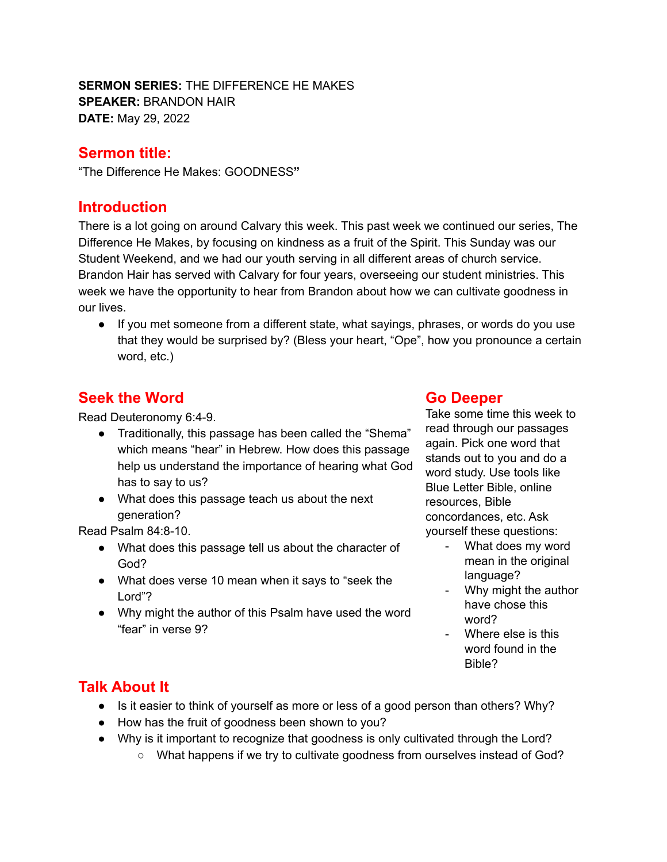**SERMON SERIES:** THE DIFFERENCE HE MAKES **SPEAKER:** BRANDON HAIR **DATE:** May 29, 2022

#### **Sermon title:**

"The Difference He Makes: GOODNESS**"**

#### **Introduction**

There is a lot going on around Calvary this week. This past week we continued our series, The Difference He Makes, by focusing on kindness as a fruit of the Spirit. This Sunday was our Student Weekend, and we had our youth serving in all different areas of church service. Brandon Hair has served with Calvary for four years, overseeing our student ministries. This week we have the opportunity to hear from Brandon about how we can cultivate goodness in our lives.

● If you met someone from a different state, what sayings, phrases, or words do you use that they would be surprised by? (Bless your heart, "Ope", how you pronounce a certain word, etc.)

### **Seek the Word**

Read Deuteronomy 6:4-9.

- Traditionally, this passage has been called the "Shema" which means "hear" in Hebrew. How does this passage help us understand the importance of hearing what God has to say to us?
- What does this passage teach us about the next generation?

Read Psalm 84:8-10.

- What does this passage tell us about the character of God?
- What does verse 10 mean when it says to "seek the Lord"?
- Why might the author of this Psalm have used the word "fear" in verse 9?

#### **Go Deeper**

Take some time this week to read through our passages again. Pick one word that stands out to you and do a word study. Use tools like Blue Letter Bible, online resources, Bible concordances, etc. Ask yourself these questions:

- What does my word mean in the original language?
- Why might the author have chose this word?
- Where else is this word found in the Bible?

# **Talk About It**

- Is it easier to think of yourself as more or less of a good person than others? Why?
- How has the fruit of goodness been shown to you?
- Why is it important to recognize that goodness is only cultivated through the Lord?
	- What happens if we try to cultivate goodness from ourselves instead of God?